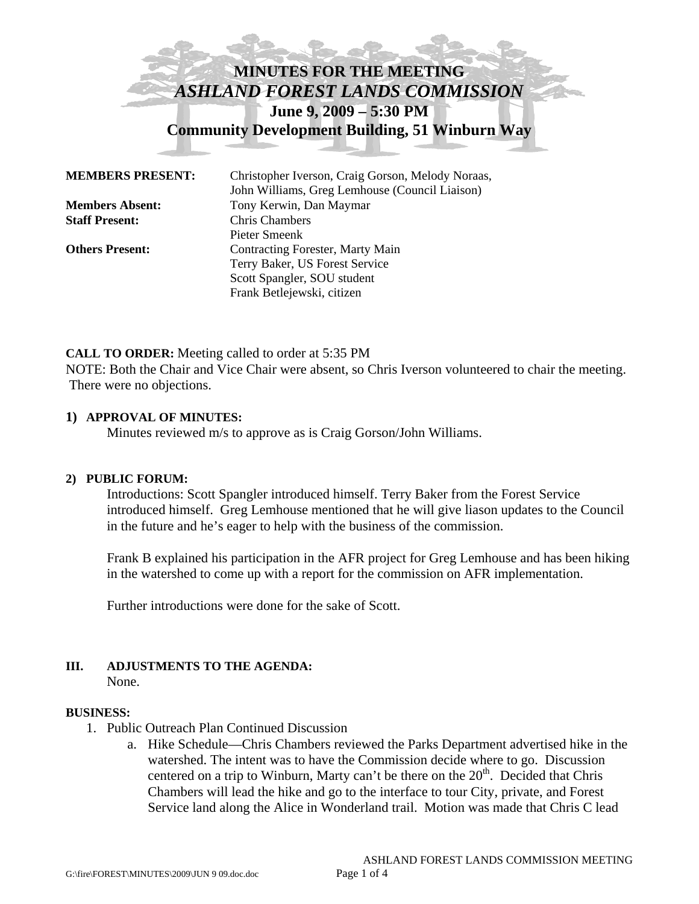# **MINUTES FOR THE MEETING**  *ASHLAND FOREST LANDS COMMISSION*  **June 9, 2009 – 5:30 PM Community Development Building, 51 Winburn Way**

| <b>MEMBERS PRESENT:</b> | Christopher Iverson, Craig Gorson, Melody Noraas,<br>John Williams, Greg Lemhouse (Council Liaison) |
|-------------------------|-----------------------------------------------------------------------------------------------------|
| <b>Members Absent:</b>  | Tony Kerwin, Dan Maymar                                                                             |
| <b>Staff Present:</b>   | <b>Chris Chambers</b>                                                                               |
|                         | Pieter Smeenk                                                                                       |
| <b>Others Present:</b>  | <b>Contracting Forester, Marty Main</b>                                                             |
|                         | Terry Baker, US Forest Service                                                                      |
|                         | Scott Spangler, SOU student                                                                         |
|                         | Frank Betlejewski, citizen                                                                          |

### **CALL TO ORDER:** Meeting called to order at 5:35 PM

NOTE: Both the Chair and Vice Chair were absent, so Chris Iverson volunteered to chair the meeting. There were no objections.

### **1) APPROVAL OF MINUTES:**

Minutes reviewed m/s to approve as is Craig Gorson/John Williams.

### **2) PUBLIC FORUM:**

Introductions: Scott Spangler introduced himself. Terry Baker from the Forest Service introduced himself. Greg Lemhouse mentioned that he will give liason updates to the Council in the future and he's eager to help with the business of the commission.

Frank B explained his participation in the AFR project for Greg Lemhouse and has been hiking in the watershed to come up with a report for the commission on AFR implementation.

Further introductions were done for the sake of Scott.

# **III. ADJUSTMENTS TO THE AGENDA:**

None.

### **BUSINESS:**

- 1. Public Outreach Plan Continued Discussion
	- a. Hike Schedule—Chris Chambers reviewed the Parks Department advertised hike in the watershed. The intent was to have the Commission decide where to go. Discussion centered on a trip to Winburn, Marty can't be there on the  $20<sup>th</sup>$ . Decided that Chris Chambers will lead the hike and go to the interface to tour City, private, and Forest Service land along the Alice in Wonderland trail. Motion was made that Chris C lead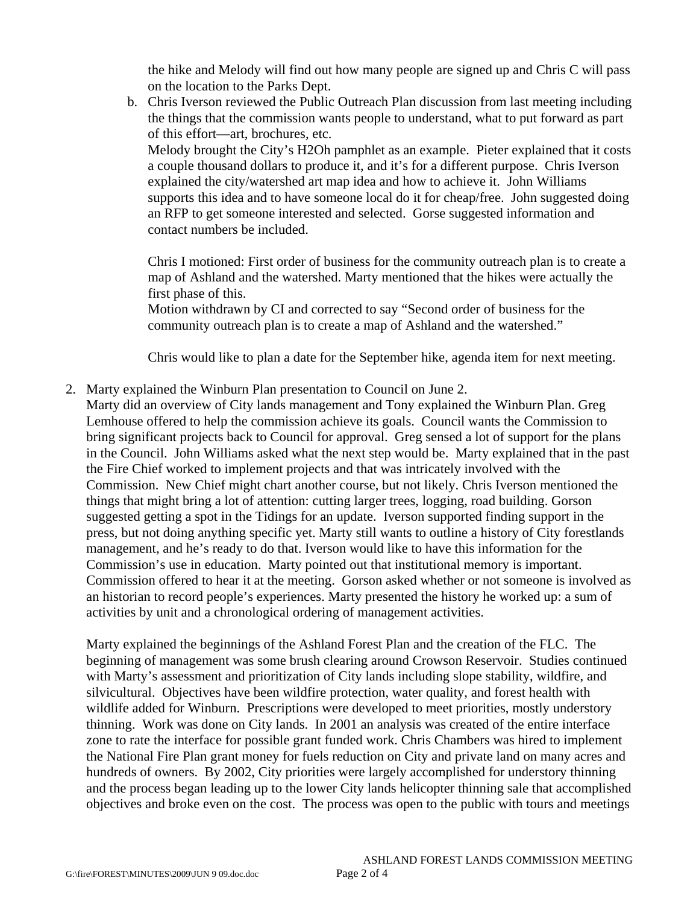the hike and Melody will find out how many people are signed up and Chris C will pass on the location to the Parks Dept.

b. Chris Iverson reviewed the Public Outreach Plan discussion from last meeting including the things that the commission wants people to understand, what to put forward as part of this effort—art, brochures, etc.

Melody brought the City's H2Oh pamphlet as an example. Pieter explained that it costs a couple thousand dollars to produce it, and it's for a different purpose. Chris Iverson explained the city/watershed art map idea and how to achieve it. John Williams supports this idea and to have someone local do it for cheap/free. John suggested doing an RFP to get someone interested and selected. Gorse suggested information and contact numbers be included.

Chris I motioned: First order of business for the community outreach plan is to create a map of Ashland and the watershed. Marty mentioned that the hikes were actually the first phase of this.

Motion withdrawn by CI and corrected to say "Second order of business for the community outreach plan is to create a map of Ashland and the watershed."

Chris would like to plan a date for the September hike, agenda item for next meeting.

2. Marty explained the Winburn Plan presentation to Council on June 2.

Marty did an overview of City lands management and Tony explained the Winburn Plan. Greg Lemhouse offered to help the commission achieve its goals. Council wants the Commission to bring significant projects back to Council for approval. Greg sensed a lot of support for the plans in the Council. John Williams asked what the next step would be. Marty explained that in the past the Fire Chief worked to implement projects and that was intricately involved with the Commission. New Chief might chart another course, but not likely. Chris Iverson mentioned the things that might bring a lot of attention: cutting larger trees, logging, road building. Gorson suggested getting a spot in the Tidings for an update. Iverson supported finding support in the press, but not doing anything specific yet. Marty still wants to outline a history of City forestlands management, and he's ready to do that. Iverson would like to have this information for the Commission's use in education. Marty pointed out that institutional memory is important. Commission offered to hear it at the meeting. Gorson asked whether or not someone is involved as an historian to record people's experiences. Marty presented the history he worked up: a sum of activities by unit and a chronological ordering of management activities.

Marty explained the beginnings of the Ashland Forest Plan and the creation of the FLC. The beginning of management was some brush clearing around Crowson Reservoir. Studies continued with Marty's assessment and prioritization of City lands including slope stability, wildfire, and silvicultural. Objectives have been wildfire protection, water quality, and forest health with wildlife added for Winburn. Prescriptions were developed to meet priorities, mostly understory thinning. Work was done on City lands. In 2001 an analysis was created of the entire interface zone to rate the interface for possible grant funded work. Chris Chambers was hired to implement the National Fire Plan grant money for fuels reduction on City and private land on many acres and hundreds of owners. By 2002, City priorities were largely accomplished for understory thinning and the process began leading up to the lower City lands helicopter thinning sale that accomplished objectives and broke even on the cost. The process was open to the public with tours and meetings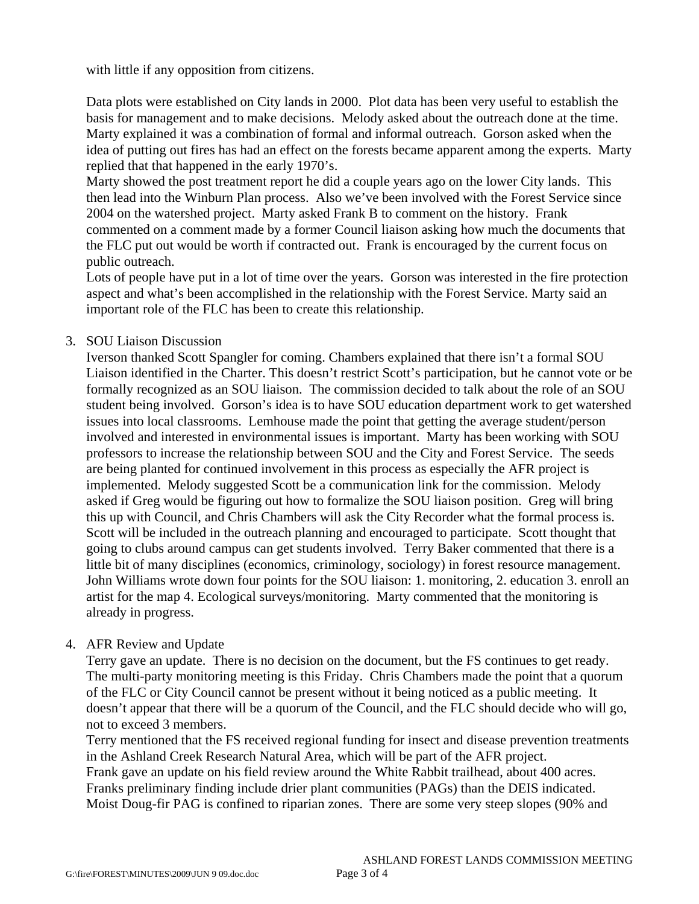with little if any opposition from citizens.

Data plots were established on City lands in 2000. Plot data has been very useful to establish the basis for management and to make decisions. Melody asked about the outreach done at the time. Marty explained it was a combination of formal and informal outreach. Gorson asked when the idea of putting out fires has had an effect on the forests became apparent among the experts. Marty replied that that happened in the early 1970's.

Marty showed the post treatment report he did a couple years ago on the lower City lands. This then lead into the Winburn Plan process. Also we've been involved with the Forest Service since 2004 on the watershed project. Marty asked Frank B to comment on the history. Frank commented on a comment made by a former Council liaison asking how much the documents that the FLC put out would be worth if contracted out. Frank is encouraged by the current focus on public outreach.

Lots of people have put in a lot of time over the years. Gorson was interested in the fire protection aspect and what's been accomplished in the relationship with the Forest Service. Marty said an important role of the FLC has been to create this relationship.

### 3. SOU Liaison Discussion

Iverson thanked Scott Spangler for coming. Chambers explained that there isn't a formal SOU Liaison identified in the Charter. This doesn't restrict Scott's participation, but he cannot vote or be formally recognized as an SOU liaison. The commission decided to talk about the role of an SOU student being involved. Gorson's idea is to have SOU education department work to get watershed issues into local classrooms. Lemhouse made the point that getting the average student/person involved and interested in environmental issues is important. Marty has been working with SOU professors to increase the relationship between SOU and the City and Forest Service. The seeds are being planted for continued involvement in this process as especially the AFR project is implemented. Melody suggested Scott be a communication link for the commission. Melody asked if Greg would be figuring out how to formalize the SOU liaison position. Greg will bring this up with Council, and Chris Chambers will ask the City Recorder what the formal process is. Scott will be included in the outreach planning and encouraged to participate. Scott thought that going to clubs around campus can get students involved. Terry Baker commented that there is a little bit of many disciplines (economics, criminology, sociology) in forest resource management. John Williams wrote down four points for the SOU liaison: 1. monitoring, 2. education 3. enroll an artist for the map 4. Ecological surveys/monitoring. Marty commented that the monitoring is already in progress.

## 4. AFR Review and Update

Terry gave an update. There is no decision on the document, but the FS continues to get ready. The multi-party monitoring meeting is this Friday. Chris Chambers made the point that a quorum of the FLC or City Council cannot be present without it being noticed as a public meeting. It doesn't appear that there will be a quorum of the Council, and the FLC should decide who will go, not to exceed 3 members.

Terry mentioned that the FS received regional funding for insect and disease prevention treatments in the Ashland Creek Research Natural Area, which will be part of the AFR project. Frank gave an update on his field review around the White Rabbit trailhead, about 400 acres. Franks preliminary finding include drier plant communities (PAGs) than the DEIS indicated. Moist Doug-fir PAG is confined to riparian zones. There are some very steep slopes (90% and